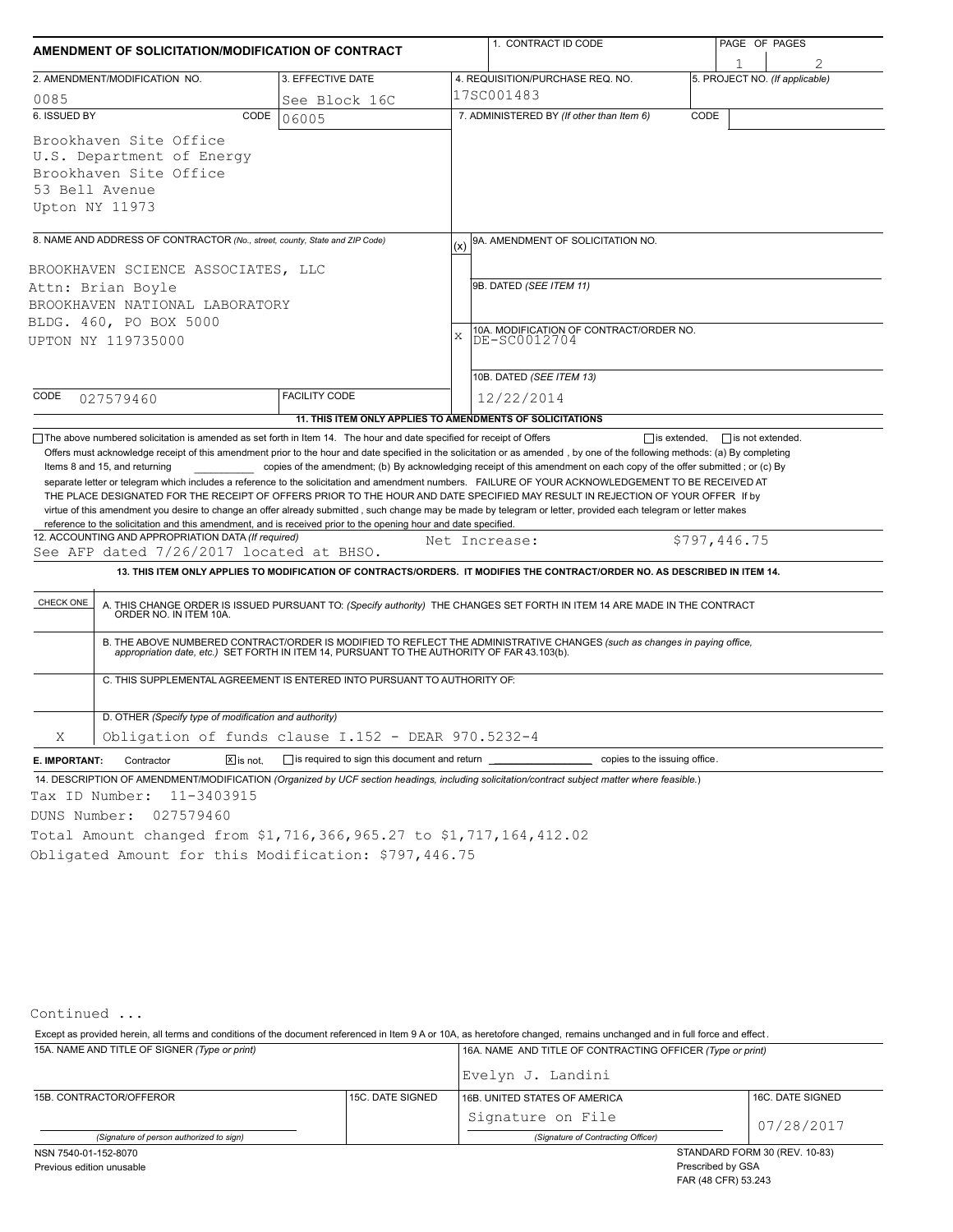| AMENDMENT OF SOLICITATION/MODIFICATION OF CONTRACT                                                                                                                                                                                                                                                                                                                                                                                                                                                                                                                                                                                                                                                                                                                                     |                                                                          |               | 1. CONTRACT ID CODE                                                                                                                                                                                                                                                                                                                                                                                                                                                                                                                                                                                                                   |      |              | PAGE OF PAGES                  |  |  |
|----------------------------------------------------------------------------------------------------------------------------------------------------------------------------------------------------------------------------------------------------------------------------------------------------------------------------------------------------------------------------------------------------------------------------------------------------------------------------------------------------------------------------------------------------------------------------------------------------------------------------------------------------------------------------------------------------------------------------------------------------------------------------------------|--------------------------------------------------------------------------|---------------|---------------------------------------------------------------------------------------------------------------------------------------------------------------------------------------------------------------------------------------------------------------------------------------------------------------------------------------------------------------------------------------------------------------------------------------------------------------------------------------------------------------------------------------------------------------------------------------------------------------------------------------|------|--------------|--------------------------------|--|--|
|                                                                                                                                                                                                                                                                                                                                                                                                                                                                                                                                                                                                                                                                                                                                                                                        |                                                                          |               |                                                                                                                                                                                                                                                                                                                                                                                                                                                                                                                                                                                                                                       |      |              |                                |  |  |
| 2. AMENDMENT/MODIFICATION NO.                                                                                                                                                                                                                                                                                                                                                                                                                                                                                                                                                                                                                                                                                                                                                          | 3. EFFECTIVE DATE                                                        |               | 4. REQUISITION/PURCHASE REQ. NO.                                                                                                                                                                                                                                                                                                                                                                                                                                                                                                                                                                                                      |      |              | 5. PROJECT NO. (If applicable) |  |  |
| 0085                                                                                                                                                                                                                                                                                                                                                                                                                                                                                                                                                                                                                                                                                                                                                                                   | See Block 16C                                                            |               | 17SC001483                                                                                                                                                                                                                                                                                                                                                                                                                                                                                                                                                                                                                            |      |              |                                |  |  |
| 6. ISSUED BY                                                                                                                                                                                                                                                                                                                                                                                                                                                                                                                                                                                                                                                                                                                                                                           | CODE<br>06005                                                            |               | 7. ADMINISTERED BY (If other than Item 6)                                                                                                                                                                                                                                                                                                                                                                                                                                                                                                                                                                                             | CODE |              |                                |  |  |
| Brookhaven Site Office                                                                                                                                                                                                                                                                                                                                                                                                                                                                                                                                                                                                                                                                                                                                                                 |                                                                          |               |                                                                                                                                                                                                                                                                                                                                                                                                                                                                                                                                                                                                                                       |      |              |                                |  |  |
| U.S. Department of Energy                                                                                                                                                                                                                                                                                                                                                                                                                                                                                                                                                                                                                                                                                                                                                              |                                                                          |               |                                                                                                                                                                                                                                                                                                                                                                                                                                                                                                                                                                                                                                       |      |              |                                |  |  |
| Brookhaven Site Office                                                                                                                                                                                                                                                                                                                                                                                                                                                                                                                                                                                                                                                                                                                                                                 |                                                                          |               |                                                                                                                                                                                                                                                                                                                                                                                                                                                                                                                                                                                                                                       |      |              |                                |  |  |
| 53 Bell Avenue                                                                                                                                                                                                                                                                                                                                                                                                                                                                                                                                                                                                                                                                                                                                                                         |                                                                          |               |                                                                                                                                                                                                                                                                                                                                                                                                                                                                                                                                                                                                                                       |      |              |                                |  |  |
| Upton NY 11973                                                                                                                                                                                                                                                                                                                                                                                                                                                                                                                                                                                                                                                                                                                                                                         |                                                                          |               |                                                                                                                                                                                                                                                                                                                                                                                                                                                                                                                                                                                                                                       |      |              |                                |  |  |
|                                                                                                                                                                                                                                                                                                                                                                                                                                                                                                                                                                                                                                                                                                                                                                                        |                                                                          |               |                                                                                                                                                                                                                                                                                                                                                                                                                                                                                                                                                                                                                                       |      |              |                                |  |  |
| 8. NAME AND ADDRESS OF CONTRACTOR (No., street, county, State and ZIP Code)                                                                                                                                                                                                                                                                                                                                                                                                                                                                                                                                                                                                                                                                                                            |                                                                          | (x)           | 9A. AMENDMENT OF SOLICITATION NO.                                                                                                                                                                                                                                                                                                                                                                                                                                                                                                                                                                                                     |      |              |                                |  |  |
|                                                                                                                                                                                                                                                                                                                                                                                                                                                                                                                                                                                                                                                                                                                                                                                        |                                                                          |               |                                                                                                                                                                                                                                                                                                                                                                                                                                                                                                                                                                                                                                       |      |              |                                |  |  |
| BROOKHAVEN SCIENCE ASSOCIATES, LLC                                                                                                                                                                                                                                                                                                                                                                                                                                                                                                                                                                                                                                                                                                                                                     |                                                                          |               |                                                                                                                                                                                                                                                                                                                                                                                                                                                                                                                                                                                                                                       |      |              |                                |  |  |
| Attn: Brian Boyle                                                                                                                                                                                                                                                                                                                                                                                                                                                                                                                                                                                                                                                                                                                                                                      |                                                                          |               | 9B. DATED (SEE ITEM 11)                                                                                                                                                                                                                                                                                                                                                                                                                                                                                                                                                                                                               |      |              |                                |  |  |
| BROOKHAVEN NATIONAL LABORATORY                                                                                                                                                                                                                                                                                                                                                                                                                                                                                                                                                                                                                                                                                                                                                         |                                                                          |               |                                                                                                                                                                                                                                                                                                                                                                                                                                                                                                                                                                                                                                       |      |              |                                |  |  |
| BLDG. 460, PO BOX 5000                                                                                                                                                                                                                                                                                                                                                                                                                                                                                                                                                                                                                                                                                                                                                                 |                                                                          | $\mathbf x$   | 10A. MODIFICATION OF CONTRACT/ORDER NO.                                                                                                                                                                                                                                                                                                                                                                                                                                                                                                                                                                                               |      |              |                                |  |  |
| UPTON NY 119735000                                                                                                                                                                                                                                                                                                                                                                                                                                                                                                                                                                                                                                                                                                                                                                     |                                                                          |               | DE-SC0012704                                                                                                                                                                                                                                                                                                                                                                                                                                                                                                                                                                                                                          |      |              |                                |  |  |
|                                                                                                                                                                                                                                                                                                                                                                                                                                                                                                                                                                                                                                                                                                                                                                                        |                                                                          |               |                                                                                                                                                                                                                                                                                                                                                                                                                                                                                                                                                                                                                                       |      |              |                                |  |  |
|                                                                                                                                                                                                                                                                                                                                                                                                                                                                                                                                                                                                                                                                                                                                                                                        |                                                                          |               | 10B. DATED (SEE ITEM 13)                                                                                                                                                                                                                                                                                                                                                                                                                                                                                                                                                                                                              |      |              |                                |  |  |
| CODE<br>027579460                                                                                                                                                                                                                                                                                                                                                                                                                                                                                                                                                                                                                                                                                                                                                                      | <b>FACILITY CODE</b>                                                     |               | 12/22/2014                                                                                                                                                                                                                                                                                                                                                                                                                                                                                                                                                                                                                            |      |              |                                |  |  |
|                                                                                                                                                                                                                                                                                                                                                                                                                                                                                                                                                                                                                                                                                                                                                                                        | 11. THIS ITEM ONLY APPLIES TO AMENDMENTS OF SOLICITATIONS                |               |                                                                                                                                                                                                                                                                                                                                                                                                                                                                                                                                                                                                                                       |      |              |                                |  |  |
| Items 8 and 15, and returning<br>separate letter or telegram which includes a reference to the solicitation and amendment numbers. FAILURE OF YOUR ACKNOWLEDGEMENT TO BE RECEIVED AT<br>THE PLACE DESIGNATED FOR THE RECEIPT OF OFFERS PRIOR TO THE HOUR AND DATE SPECIFIED MAY RESULT IN REJECTION OF YOUR OFFER If by<br>virtue of this amendment you desire to change an offer already submitted, such change may be made by telegram or letter, provided each telegram or letter makes<br>reference to the solicitation and this amendment, and is received prior to the opening hour and date specified.<br>12. ACCOUNTING AND APPROPRIATION DATA (If required)<br>See AFP dated 7/26/2017 located at BHSO.<br>CHECK ONE<br>D. OTHER (Specify type of modification and authority) | C. THIS SUPPLEMENTAL AGREEMENT IS ENTERED INTO PURSUANT TO AUTHORITY OF: | Net Increase: | copies of the amendment; (b) By acknowledging receipt of this amendment on each copy of the offer submitted; or (c) By<br>13. THIS ITEM ONLY APPLIES TO MODIFICATION OF CONTRACTS/ORDERS. IT MODIFIES THE CONTRACT/ORDER NO. AS DESCRIBED IN ITEM 14.<br>A. THIS CHANGE ORDER IS ISSUED PURSUANT TO: (Specify authority) THE CHANGES SET FORTH IN ITEM 14 ARE MADE IN THE CONTRACT ORDER NO. IN ITEM 10A.<br>B. THE ABOVE NUMBERED CONTRACT/ORDER IS MODIFIED TO REFLECT THE ADMINISTRATIVE CHANGES (such as changes in paying office,<br>appropriation date, etc.) SET FORTH IN ITEM 14, PURSUANT TO THE AUTHORITY OF FAR 43.103(b). |      | \$797,446.75 |                                |  |  |
| Χ                                                                                                                                                                                                                                                                                                                                                                                                                                                                                                                                                                                                                                                                                                                                                                                      | Obligation of funds clause I.152 - DEAR 970.5232-4                       |               |                                                                                                                                                                                                                                                                                                                                                                                                                                                                                                                                                                                                                                       |      |              |                                |  |  |
| $\Sigma$ is not.<br>E. IMPORTANT:<br>Contractor                                                                                                                                                                                                                                                                                                                                                                                                                                                                                                                                                                                                                                                                                                                                        | $\Box$ is required to sign this document and return                      |               | copies to the issuing office.                                                                                                                                                                                                                                                                                                                                                                                                                                                                                                                                                                                                         |      |              |                                |  |  |
| 14. DESCRIPTION OF AMENDMENT/MODIFICATION (Organized by UCF section headings, including solicitation/contract subject matter where feasible.)                                                                                                                                                                                                                                                                                                                                                                                                                                                                                                                                                                                                                                          |                                                                          |               |                                                                                                                                                                                                                                                                                                                                                                                                                                                                                                                                                                                                                                       |      |              |                                |  |  |
| 11-3403915<br>Tax ID Number:                                                                                                                                                                                                                                                                                                                                                                                                                                                                                                                                                                                                                                                                                                                                                           |                                                                          |               |                                                                                                                                                                                                                                                                                                                                                                                                                                                                                                                                                                                                                                       |      |              |                                |  |  |
| DUNS Number:<br>027579460                                                                                                                                                                                                                                                                                                                                                                                                                                                                                                                                                                                                                                                                                                                                                              |                                                                          |               |                                                                                                                                                                                                                                                                                                                                                                                                                                                                                                                                                                                                                                       |      |              |                                |  |  |
| Total Amount changed from \$1,716,366,965.27 to \$1,717,164,412.02                                                                                                                                                                                                                                                                                                                                                                                                                                                                                                                                                                                                                                                                                                                     |                                                                          |               |                                                                                                                                                                                                                                                                                                                                                                                                                                                                                                                                                                                                                                       |      |              |                                |  |  |
| Obligated Amount for this Modification: \$797,446.75                                                                                                                                                                                                                                                                                                                                                                                                                                                                                                                                                                                                                                                                                                                                   |                                                                          |               |                                                                                                                                                                                                                                                                                                                                                                                                                                                                                                                                                                                                                                       |      |              |                                |  |  |
|                                                                                                                                                                                                                                                                                                                                                                                                                                                                                                                                                                                                                                                                                                                                                                                        |                                                                          |               |                                                                                                                                                                                                                                                                                                                                                                                                                                                                                                                                                                                                                                       |      |              |                                |  |  |

Continued ...

15A. NAME AND TITLE OF SIGNER *(Type or print)* 16A. NAME AND TITLE OF CONTRACTING OFFICER *(Type or print)* Except as provided herein, all terms and conditions of the document referenced in Item 9 A or 10A, as heretofore changed, remains unchanged and in full force and effect .

|                                          |                  | Evelyn J. Landini                  |                  |  |  |
|------------------------------------------|------------------|------------------------------------|------------------|--|--|
| 15B. CONTRACTOR/OFFEROR                  | 15C. DATE SIGNED | 16B. UNITED STATES OF AMERICA      | 16C. DATE SIGNED |  |  |
|                                          |                  | Signature on File                  | 07/28/2017       |  |  |
| (Signature of person authorized to sign) |                  | (Signature of Contracting Officer) |                  |  |  |
| NSN 7540-01-152-8070                     |                  | STANDARD FORM 30 (REV. 10-83)      |                  |  |  |